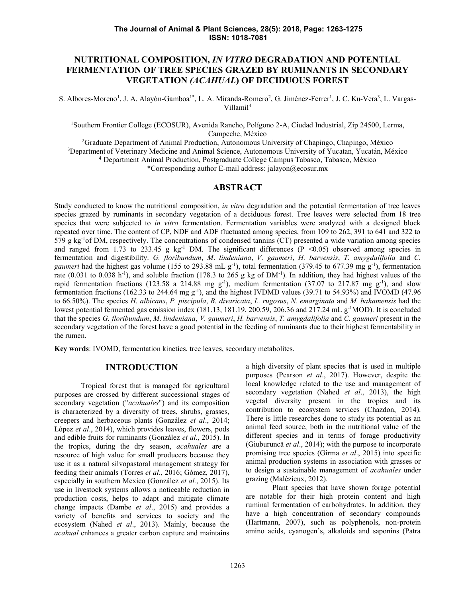# **NUTRITIONAL COMPOSITION,** *IN VITRO* **DEGRADATION AND POTENTIAL FERMENTATION OF TREE SPECIES GRAZED BY RUMINANTS IN SECONDARY VEGETATION** *(ACAHUAL***) OF DECIDUOUS FOREST**

S. Albores-Moreno<sup>1</sup>, J. A. Alayón-Gamboa<sup>1\*</sup>, L. A. Miranda-Romero<sup>2</sup>, G. Jiménez-Ferrer<sup>1</sup>, J. C. Ku-Vera<sup>3</sup>, L. Vargas-Villamil<sup>4</sup>

<sup>1</sup>Southern Frontier College (ECOSUR), Avenida Rancho, Polígono 2-A, Ciudad Industrial, Zip 24500, Lerma, Campeche, México

<sup>2</sup>Graduate Department of Animal Production, Autonomous University of Chapingo, Chapingo, México <sup>3</sup>Department of Veterinary Medicine and Animal Science, Autonomous University of Yucatan, Yucatán, México <sup>4</sup> Department Animal Production, Postgraduate College Campus Tabasco, Tabasco, México

\*Corresponding author E-mail address: jalayon@ecosur.mx

#### **ABSTRACT**

Study conducted to know the nutritional composition, *in vitro* degradation and the potential fermentation of tree leaves species grazed by ruminants in secondary vegetation of a deciduous forest. Tree leaves were selected from 18 tree species that were subjected to *in vitro* fermentation. Fermentation variables were analyzed with a designed block repeated over time. The content of CP, NDF and ADF fluctuated among species, from 109 to 262, 391 to 641 and 322 to 579 g  $kg<sup>-1</sup>$  of DM, respectively. The concentrations of condensed tannins (CT) presented a wide variation among species and ranged from 1.73 to 233.45 g  $kg<sup>-1</sup>$  DM. The significant differences (P <0.05) observed among species in fermentation and digestibility. *G. floribundum*, *M*. *lindeniana*, *V. gaumeri*, *H. barvensis*, *T. amygdalifolia* and *C. gaumeri* had the highest gas volume (155 to 293.88 mL  $g^{-1}$ ), total fermentation (379.45 to 677.39 mg  $g^{-1}$ ), fermentation rate  $(0.031 \text{ to } 0.038 \text{ h}^{-1})$ , and soluble fraction (178.3 to 265 g kg of DM<sup>-1</sup>). In addition, they had highest values of the rapid fermentation fractions (123.58 a 214.88 mg  $g^{-1}$ ), medium fermentation (37.07 to 217.87 mg  $g^{-1}$ ), and slow fermentation fractions (162.33 to 244.64 mg g<sup>-1</sup>), and the highest IVDMD values (39.71 to 54.93%) and IVOMD (47.96 to 66.50%). The species *H. albicans*, *P. piscipula*, *B. divaricata*, *L. rugosus*, *N. emarginata* and *M. bahamensis* had the lowest potential fermented gas emission index (181.13, 181.19, 200.59, 206.36 and 217.24 mL g-1MOD). It is concluded that the species *G. floribundum*, *M*. *lindeniana*, *V. gaumeri*, *H. barvensis*, *T. amygdalifolia* and *C. gaumeri* present in the secondary vegetation of the forest have a good potential in the feeding of ruminants due to their highest fermentability in the rumen.

**Key words**: IVOMD, fermentation kinetics, tree leaves, secondary metabolites.

#### **INTRODUCTION**

Tropical forest that is managed for agricultural purposes are crossed by different successional stages of secondary vegetation ("*acahuales*") and its composition is characterized by a diversity of trees, shrubs, grasses, creepers and herbaceous plants (González *et al*., 2014; López *et al*., 2014), which provides leaves, flowers, pods and edible fruits for ruminants (González *et al*., 2015). In the tropics, during the dry season, *acahuales* are a resource of high value for small producers because they use it as a natural silvopastoral management strategy for feeding their animals (Torres *et al*., 2016; Gómez, 2017), especially in southern Mexico (González *et al.*, 2015). Its use in livestock systems allows a noticeable reduction in production costs, helps to adapt and mitigate climate change impacts (Dambe *et al*., 2015) and provides a variety of benefits and services to society and the ecosystem (Nahed *et al*., 2013). Mainly, because the *acahual* enhances a greater carbon capture and maintains

a high diversity of plant species that is used in multiple purposes (Pearson *et al*., 2017). However, despite the local knowledge related to the use and management of secondary vegetation (Nahed *et al*., 2013), the high vegetal diversity present in the tropics and its contribution to ecosystem services (Chazdon, 2014). There is little researches done to study its potential as an animal feed source, both in the nutritional value of the different species and in terms of forage productivity (Giuburuncă *et al*., 2014); with the purpose to incorporate promising tree species (Girma *et al*., 2015) into specific animal production systems in association with grasses or to design a sustainable management of *acahuales* under grazing (Malézieux, 2012).

Plant species that have shown forage potential are notable for their high protein content and high ruminal fermentation of carbohydrates. In addition, they have a high concentration of secondary compounds (Hartmann, 2007), such as polyphenols, non-protein amino acids, cyanogen's, alkaloids and saponins (Patra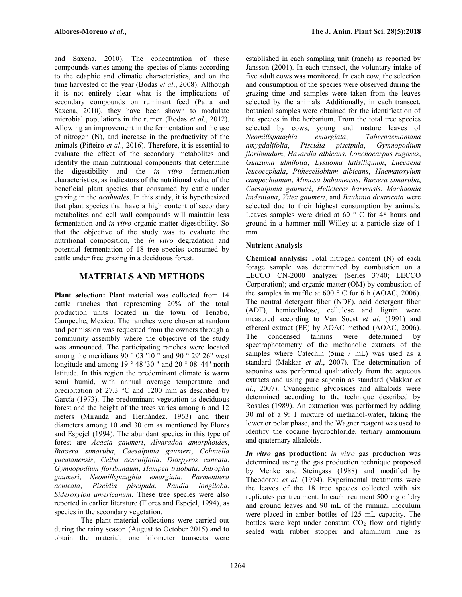and Saxena, 2010). The concentration of these compounds varies among the species of plants according to the edaphic and climatic characteristics, and on the time harvested of the year (Bodas *et al.*, 2008). Although it is not entirely clear what is the implications of secondary compounds on ruminant feed (Patra and Saxena, 2010), they have been shown to modulate microbial populations in the rumen (Bodas *et al*., 2012). Allowing an improvement in the fermentation and the use of nitrogen (N), and increase in the productivity of the Neomillspaughia animals (Piñeiro *et al*., 2016). Therefore, it is essential to evaluate the effect of the secondary metabolites and identify the main nutritional components that determine the digestibility and the *in vitro* fermentation characteristics, as indicators of the nutritional value of the beneficial plant species that consumed by cattle under grazing in the *acahuales*. In this study, it is hypothesized that plant species that have a high content of secondary metabolites and cell wall compounds will maintain less fermentation and *in vitro* organic matter digestibility. So that the objective of the study was to evaluate the nutritional composition, the *in vitro* degradation and potential fermentation of 18 tree species consumed by cattle under free grazing in a deciduous forest.

# **MATERIALS AND METHODS**

**Plant selection:** Plant material was collected from 14 cattle ranches that representing 20% of the total production units located in the town of Tenabo, Campeche, Mexico. The ranches were chosen at random and permission was requested from the owners through a ether community assembly where the objective of the study. community assembly where the objective of the study was announced. The participating ranches were located among the meridians  $90^\circ 03'10''$  and  $90^\circ 29'26''$  west longitude and among 19 ° 48 '30 " and 20 ° 08' 44" north latitude. In this region the predominant climate is warm semi humid, with annual average temperature and precipitation of 27.3 °C and 1200 mm as described by García (1973). The predominant vegetation is deciduous forest and the height of the trees varies among 6 and 12 meters (Miranda and Hernández, 1963) and their diameters among 10 and 30 cm as mentioned by Flores and Espejel (1994). The abundant species in this type of forest are *Acacia gaumeri*, *Alvaradoa amorphoides*, *Bursera simaruba*, *Caesalpinia gaumeri*, *Cohniella yucatanensis*, *Ceiba aesculifolia*, *Diospyros cuneata*, *Gymnopodium floribundum*, *Hampea trilobata*, *Jatropha gaumeri*, *Neomillspaughia emargiata*, *Parmentiera aculeata*, *Piscidia piscipula*, *Randia longiloba*, *Sideroxylon americanum*. These tree species were also reported in earlier literature (Flores and Espejel, 1994), as species in the secondary vegetation.

The plant material collections were carried out during the rainy season (August to October 2015) and to obtain the material, one kilometer transects were

established in each sampling unit (ranch) as reported by Jansson (2001). In each transect, the voluntary intake of five adult cows was monitored. In each cow, the selection and consumption of the species were observed during the grazing time and samples were taken from the leaves selected by the animals. Additionally, in each transect, botanical samples were obtained for the identification of the species in the herbarium. From the total tree species selected by cows, young and mature leaves of *Neomillspaughia emargiata*, *Tabernaemontana amygdalifolia*, *Piscidia piscipula*, *Gymnopodium floribundum*, *Havardia albicans*, *Lonchocarpus rugosus*, *Guazuma ulmifolia*, *Lysiloma latisiliquum*, *Luecaena leucocephala*, *Pithecellobium albicans*, *Haematoxylum campechianum*, *Mimosa bahamensis*, *Bursera simaruba*, *Caesalpinia gaumeri*, *Helicteres barvensis*, *Machaonia lindeniana*, *Vitex gaumeri*, and *Bauhinia divaricata* were selected due to their highest consumption by animals. Leaves samples were dried at 60 ° C for 48 hours and ground in a hammer mill Willey at a particle size of 1 mm.

# **Nutrient Analysis**

**Chemical analysis:** Total nitrogen content (N) of each forage sample was determined by combustion on a LECCO CN-2000 analyzer (Series 3740; LECCO Corporation); and organic matter (OM) by combustion of the samples in muffle at  $600 \degree$  C for 6 h (AOAC, 2006). The neutral detergent fiber (NDF), acid detergent fiber (ADF), hemicellulose, cellulose and lignin were measured according to Van Soest *et al*. (1991) and ethereal extract (EE) by AOAC method (AOAC, 2006). condensed tannins were determined by spectrophotometry of the methanolic extracts of the samples where Catechin (5mg / mL) was used as a standard (Makkar *et al*., 2007). The determination of saponins was performed qualitatively from the aqueous extracts and using pure saponin as standard (Makkar *et al*., 2007). Cyanogenic glycosides and alkaloids were determined according to the technique described by Rosales (1989). An extraction was performed by adding 30 ml of a 9: 1 mixture of methanol-water, taking the lower or polar phase, and the Wagner reagent was used to identify the cocaine hydrochloride, tertiary ammonium and quaternary alkaloids.

*In vitro* **gas production:** *in vitro* gas production was determined using the gas production technique proposed by Menke and Steingass (1988) and modified by Theodorou *et al*. (1994). Experimental treatments were the leaves of the 18 tree species collected with six replicates per treatment. In each treatment 500 mg of dry and ground leaves and 90 mL of the ruminal inoculum were placed in amber bottles of 125 mL capacity. The bottles were kept under constant  $CO<sub>2</sub>$  flow and tightly sealed with rubber stopper and aluminum ring as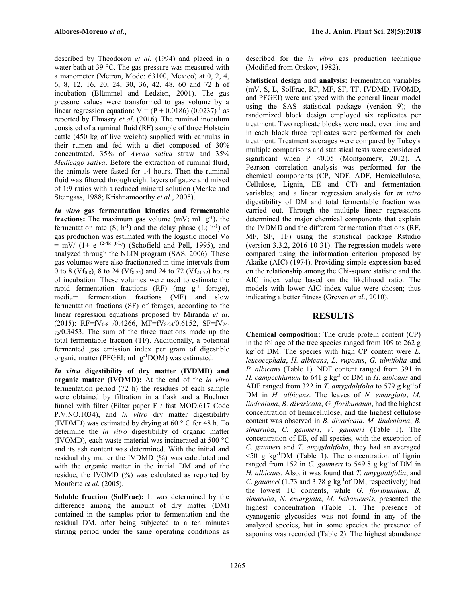described by Theodorou *et al*. (1994) and placed in a water bath at 39 °C. The gas pressure was measured with a manometer (Metron, Mode: 63100, Mexico) at 0, 2, 4, 6, 8, 12, 16, 20, 24, 30, 36, 42, 48, 60 and 72 h of incubation (Blümmel and Ledzien, 2001). The gas pressure values were transformed to gas volume by a linear regression equation:  $V = (P + 0.0186) (0.0237)^{-1}$  as reported by Elmasry *et al*. (2016). The ruminal inoculum consisted of a ruminal fluid (RF) sample of three Holstein cattle (450 kg of live weight) supplied with cannulas in their rumen and fed with a diet composed of 30% concentrated, 35% of *Avena sativa* straw and 35% *Medicago sativa*. Before the extraction of ruminal fluid, the animals were fasted for 14 hours. Then the ruminal fluid was filtered through eight layers of gauze and mixed of 1:9 ratios with a reduced mineral solution (Menke and Steingass, 1988; Krishnamoorthy *et al*., 2005).

*In vitro* **gas fermentation kinetics and fermentable fractions:** The maximum gas volume  $(mV; mL g^{-1})$ , the fermentation rate  $(S; h^{-1})$  and the delay phase  $(L; h^{-1})$  of gas production was estimated with the logistic model Vo  $=$  mV/ (1+ e <sup>(2-4k (t-L)</sup>) (Schofield and Pell, 1995), and analyzed through the NLIN program (SAS, 2006). These gas volumes were also fractionated in time intervals from 0 to 8 (Vf<sub>0-8</sub>), 8 to 24 (Vf<sub>8-24</sub>) and 24 to 72 (Vf<sub>24-72</sub>) hours of incubation. These volumes were used to estimate the rapid fermentation fractions  $(RF)$  (mg  $g^{-1}$  forage), medium fermentation fractions (MF) and slow fermentation fractions (SF) of forages, according to the linear regression equations proposed by Miranda *et al*. (2015): RF=fV<sub>0-8</sub> /0.4266, MF=fV<sub>8-24</sub>/0.6152, SF=fV<sub>24-</sub> <sup>72</sup>/0.3453. The sum of the three fractions made up the total fermentable fraction (TF). Additionally, a potential fermented gas emission index per gram of digestible organic matter (PFGEI; mL g-1DOM) was estimated.

*In vitro* **digestibility of dry matter (IVDMD) and organic matter (IVOMD):** At the end of the *in vitro* fermentation period (72 h) the residues of each sample were obtained by filtration in a flask and a Buchner funnel with filter (Filter paper F / fast MOD.617 Code P.V.NO.1034), and *in vitro* dry matter digestibility (IVDMD) was estimated by drying at 60 ° C for 48 h. To determine the *in vitro* digestibility of organic matter (IVOMD), each waste material was incinerated at 500 °C and its ash content was determined. With the initial and residual dry matter the IVDMD (%) was calculated and with the organic matter in the initial DM and of the residue, the IVOMD (%) was calculated as reported by Monforte *et al*. (2005).

**Soluble fraction (SolFrac):** It was determined by the difference among the amount of dry matter (DM) contained in the samples prior to fermentation and the residual DM, after being subjected to a ten minutes stirring period under the same operating conditions as described for the *in vitro* gas production technique (Modified from Orskov, 1982).

**Statistical design and analysis:** Fermentation variables (mV, S, L, SolFrac, RF, MF, SF, TF, IVDMD, IVOMD, and PFGEI) were analyzed with the general linear model using the SAS statistical package (version 9); the randomized block design employed six replicates per treatment. Two replicate blocks were made over time and in each block three replicates were performed for each treatment. Treatment averages were compared by Tukey's multiple comparisons and statistical tests were considered significant when P <0.05 (Montgomery, 2012). A Pearson correlation analysis was performed for the chemical components (CP, NDF, ADF, Hemicellulose, Cellulose, Lignin, EE and CT) and fermentation variables; and a linear regression analysis for *in vitro* digestibility of DM and total fermentable fraction was carried out. Through the multiple linear regressions determined the major chemical components that explain the IVDMD and the different fermentation fractions (RF, MF, SF, TF) using the statistical package Rstudio (version 3.3.2, 2016-10-31). The regression models were compared using the information criterion proposed by Akaike (AIC) (1974). Providing simple expression based on the relationship among the Chi-square statistic and the AIC index value based on the likelihood ratio. The models with lower AIC index value were chosen; thus indicating a better fitness (Greven *et al*., 2010).

# **RESULTS**

**Chemical composition:** The crude protein content (CP) in the foliage of the tree species ranged from 109 to 262 g kg-1of DM. The species with high CP content were *L. leucocephala*, *H. albicans*, *L. rugosus*, *G. ulmifolia* and *P. albicans* (Table 1). NDF content ranged from 391 in *H. campechianum* to 641 g kg-1 of DM in *H. albicans* and ADF ranged from 322 in *T. amygdalifolia* to 579 g kg-1of DM in *H. albicans*. The leaves of *N. emargiata*, *M. lindeniana*, *B. divaricata*, *G. floribundum*, had the highest concentration of hemicellulose; and the highest cellulose content was observed in *B. divaricata*, *M. lindeniana*, *B. simaruba*, *C. gaumeri*, *V. gaumeri* (Table 1). The concentration of EE, of all species, with the exception of *C. gaumeri* and *T. amygdalifolia*, they had an averaged  $\leq 50$  g kg<sup>-1</sup>DM (Table 1). The concentration of lignin ranged from 152 in *C. gaumeri* to 549.8 g kg<sup>-1</sup>of DM in *H. albicans*. Also, it was found that *T. amygdalifolia*, and *C. gaumeri* (1.73 and 3.78 g kg<sup>-1</sup> of DM, respectively) had the lowest TC contents, while *G. floribundum*, *B. simaruba*, *N. emargiata*, *M. bahamensis*, presented the highest concentration (Table 1). The presence of cyanogenic glycosides was not found in any of the analyzed species, but in some species the presence of saponins was recorded (Table 2). The highest abundance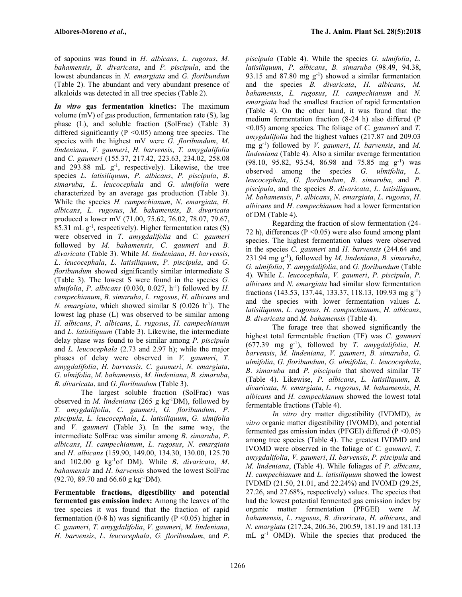of saponins was found in *H. albicans*, *L. rugosus*, *M. bahamensis*, *B. divaricata*, and *P. piscipula*, and the lowest abundances in *N. emargiata* and *G. floribundum* (Table 2). The abundant and very abundant presence of alkaloids was detected in all tree species (Table 2).

*In vitro* **gas fermentation kinetics:** The maximum volume (mV) of gas production, fermentation rate (S), lag phase (L), and soluble fraction (SolFrac) (Table 3) differed significantly ( $P \le 0.05$ ) among tree species. The species with the highest mV were *G.floribundum*, *M*. *lindeniana*, *V. gaumeri*, *H. barvensis*, *T. amygdalifolia* and *C. gaumeri* (155.37, 217.42, 223.63, 234.02, 258.08 and 293.88 mL  $g^{-1}$ , respectively). Likewise, the tree species *L. latisiliquum*, *P. albicans*, *P. piscipula*, *B*. *simaruba*, *L*. *leucocephala* and *G*.*ulmifolia* were characterized by an average gas production (Table 3). While the species *H. campechianum*, *N*. *emargiata*, *H. albicans*, *L. rugosus*, *M. bahamensis*, *B*. *divaricata* produced a lower mV (71.00, 75.62, 76.02, 78.07, 79.67,  $85.31$  mL  $g^{-1}$ , respectively). Higher fermentation rates (S) were observed in *T. amygdalifolia* and *C. gaumeri* followed by *M*. *bahamensis*, *C*. *gaumeri* and *B. divaricata* (Table 3). While *M*.*lindeniana*, *H*. *barvensis*, *L*. *leucocephala*, *L. latisiliquum*, *P. piscipula*, and *G. floribundum* showed significantly similar intermediate S (Table 3). The lowest S were found in the species *G. ulmifolia*, *P. albicans* (0.030, 0.027, h -1) followed by *H. campechianum*, *B. simaruba*, *L. rugosus*, *H. albicans* and *N. emargiata*, which showed similar S (0.026 h<sup>-1</sup>). The  $\frac{dH}{dt}$ lowest lag phase (L) was observed to be similar among *H. albicans*, *P. albicans*, *L. rugosus*, *H. campechianum* and *L. latisiliquum* (Table 3). Likewise, the intermediate delay phase was found to be similar among *P. piscipula* and *L. leucocephala* (2.73 and 2.97 h); while the major phases of delay were observed in *V. gaumeri*, *T. amygdalifolia*, *H. barvensis*, *C. gaumeri*, *N. emargiata*, *G. ulmifolia*, *M. bahamensis*, *M. lindeniana*, *B. simaruba*, *B. divaricata*, and *G. floribundum* (Table 3).

The largest soluble fraction (SolFrac) was observed in *M. lindeniana* (265 g kg-1DM), followed by *T. amygdalifolia*, *C. gaumeri*, *G. floribundum*, *P. piscipula*, *L. leucocephala*, *L. latisiliquum*, *G. ulmifolia* and *V. gaumeri* (Table 3). In the same way, the intermediate SolFrac was similar among *B*. *simaruba*, *P*. *albicans*, *H*. *campechianum*, *L*. *rugosus*, *N*. *emargiata* and *H*. *albicans* (159.90, 149.00, 134.30, 130.00, 125.70 and 102.00 g kg-1of DM). While *B*. *divaricata*, *M*. *bahamensis* and *H*. *barvensis* showed the lowest SolFrac  $(92.70, 89.70, 66.60, g kg^{-1}DM).$ 

**Fermentable fractions, digestibility and potential fermented gas emission index:** Among the leaves of the tree species it was found that the fraction of rapid fermentation (0-8 h) was significantly ( $P \le 0.05$ ) higher in *C. gaumeri*, *T. amygdalifolia*, *V. gaumeri*, *M. lindeniana*, *H. barvensis*, *L*. *leucocephala*, *G. floribundum*, and *P*. *piscipula* (Table 4). While the species *G. ulmifolia*, *L. latisiliquum*, *P. albicans*, *B. simaruba* (98.49, 94.38, 93.15 and 87.80 mg  $g^{-1}$ ) showed a similar fermentation and the species *B. divaricata*, *H. albicans*, *M. bahamensis*, *L. rugosus*, *H. campechianum* and *N. emargiata* had the smallest fraction of rapid fermentation (Table 4). On the other hand, it was found that the medium fermentation fraction (8-24 h) also differed (P <0.05) among species. The foliage of *C. gaumeri* and *T. amygdalifolia* had the highest values (217.87 and 209.03 mg g-1) followed by *V. gaumeri*, *H. barvensis*, and *M. lindeniana* (Table 4). Also a similar average fermentation (98.10, 95.82, 93.54, 86.98 and 75.85 mg g-1) was observed among the species *G*. *ulmifolia*, *L*. *leucocephala*, *G*. *floribundum*, *B*. *simaruba*, and *P*. *piscipula*, and the species *B*. *divaricata*, *L*. *latisiliquum*, *M*. *bahamensis*, *P*. *albicans*, *N*. *emargiata*, *L*. *rugosus*, *H*. *albicans* and *H*. *campechianum* had a lower fermentation of DM (Table 4).

Regarding the fraction of slow fermentation (24- 72 h), differences ( $P \le 0.05$ ) were also found among plant species. The highest fermentation values were observed in the species *C. gaumeri* and *H. barvensis* (244.64 and 231.94 mg g-1), followed by *M. lindeniana*, *B. simaruba*, *G. ulmifolia*, *T. amygdalifolia*, and *G. floribundum* (Table 4). While *L. leucocephala*, *V. gaumeri*, *P. piscipula*, *P. albicans* and *N. emargiata* had similar slow fermentation fractions (143.53, 137.44, 133.37, 118.13, 109.93 mg g-1) and the species with lower fermentation values *L. latisiliquum*, *L. rugosus*, *H. campechianum*, *H. albicans*, *B. divaricata* and *M. bahamensis* (Table 4).

The forage tree that showed significantly the highest total fermentable fraction (TF) was *C. gaumeri*  $(677.39 \text{ mg g}^{-1})$ , followed by *T. amygdalifolia*, *H. barvensis*, *M. lindeniana*, *V. gaumeri*, *B. simaruba*, *G. ulmifolia*, *G. floribundum*, *G. ulmifolia*, *L. leucocephala*, *B*. *simaruba* and *P. piscipula* that showed similar TF (Table 4). Likewise, *P. albicans*, *L. latisiliquum*, *B. divaricata*, *N. emargiata*, *L. rugosus*, *M. bahamensis*, *H. albicans* and *H. campechianum* showed the lowest total fermentable fractions (Table 4).

*In vitro* dry matter digestibility (IVDMD), *in vitro* organic matter digestibility (IVOMD), and potential fermented gas emission index (PFGEI) differed ( $P \le 0.05$ ) among tree species (Table 4). The greatest IVDMD and IVOMD were observed in the foliage of *C. gaumeri*, *T. amygdalifolia*, *V. gaumeri*, *H. barvensis*, *P. piscipula* and *M. lindeniana*, (Table 4). While foliages of *P*. *albicans*, *H*. *campechianum* and *L*. *latisiliquum* showed the lowest IVDMD (21.50, 21.01, and 22.24%) and IVOMD (29.25, 27.26, and 27.68%, respectively) values. The species that had the lowest potential fermented gas emission index by organic matter fermentation (PFGEI) were *M*. *bahamensis*, *L*. *rugosus*, *B. divaricata*, *H. albicans*, and *N. emargiata* (217.24, 206.36, 200.59, 181.19 and 181.13 mL  $g^{-1}$  OMD). While the species that produced the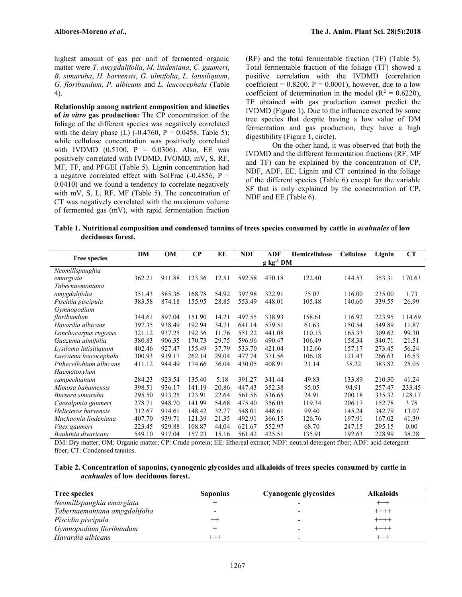highest amount of gas per unit of fermented organic matter were *T. amygdalifolia*, *M. lindeniana*, *C. gaumeri*, *B. simaruba*, *H. barvensis*, *G. ulmifolia*, *L. latisiliquum*, *G. floribundum*, *P. albicans* and *L. leucocephala* (Table 4).

**Relationship among nutrient composition and kinetics of** *in vitro* **gas production:** The CP concentration of the foliage of the different species was negatively correlated with the delay phase (L)  $(-0.4760, P = 0.0458,$  Table 5); while cellulose concentration was positively correlated with IVDMD (0.5100,  $P = 0.0306$ ). Also, EE was positively correlated with IVDMD, IVOMD, mV, S, RF, MF, TF, and PFGEI (Table 5). Lignin concentration had a negative correlated effect with SolFrac  $(-0.4856, P =$ 0.0410) and we found a tendency to correlate negatively with mV, S, L, RF, MF (Table 5). The concentration of CT was negatively correlated with the maximum volume of fermented gas (mV), with rapid fermentation fraction

(RF) and the total fermentable fraction (TF) (Table 5). Total fermentable fraction of the foliage (TF) showed a positive correlation with the IVDMD (correlation coefficient =  $0.8200$ , P =  $0.0001$ ), however, due to a low coefficient of determination in the model ( $R^2 = 0.6220$ ), TF obtained with gas production cannot predict the IVDMD (Figure 1). Due to the influence exerted by some tree species that despite having a low value of DM fermentation and gas production, they have a high digestibility (Figure 1, circle).

On the other hand, it was observed that both the IVDMD and the different fermentation fractions (RF, MF and TF) can be explained by the concentration of CP, NDF, ADF, EE, Lignin and CT contained in the foliage of the different species (Table 6) except for the variable SF that is only explained by the concentration of CP, NDF and EE (Table 6).

**Table 1. Nutritional composition and condensed tannins of trees species consumed by cattle in** *acahuales* **of low deciduous forest.**

|                         | DM     | OM             | $\bf CP$ | EE    | <b>NDF</b> | <b>ADF</b> | Hemicellulose | <b>Cellulose</b> | Lignin | <b>CT</b> |
|-------------------------|--------|----------------|----------|-------|------------|------------|---------------|------------------|--------|-----------|
| <b>Tree species</b>     |        | $g kg^{-1} DM$ |          |       |            |            |               |                  |        |           |
| Neomillspaughia         |        |                |          |       |            |            |               |                  |        |           |
| emargiata               | 362.21 | 911.88         | 123.36   | 12.51 | 592.58     | 470.18     | 122.40        | 144.53           | 353.31 | 170.63    |
| Tabernaemontana         |        |                |          |       |            |            |               |                  |        |           |
| amygdalifolia           | 351.43 | 885.36         | 168.78   | 54.92 | 397.98     | 322.91     | 75.07         | 116.00           | 235.00 | 1.73      |
| Piscidia piscipula      | 383.58 | 874.18         | 155.95   | 28.85 | 553.49     | 448.01     | 105.48        | 140.60           | 339.55 | 26.99     |
| Gymnopodium             |        |                |          |       |            |            |               |                  |        |           |
| floribundum             | 344.61 | 897.04         | 151.90   | 14.21 | 497.55     | 338.93     | 158.61        | 116.92           | 223.95 | 114.69    |
| Havardia albicans       | 397.35 | 938.49         | 192.94   | 34.71 | 641.14     | 579.51     | 61.63         | 150.54           | 549.89 | 11.87     |
| Lonchocarpus rugosus    | 321.12 | 937.25         | 192.36   | 11.76 | 551.22     | 441.08     | 110.13        | 165.33           | 309.62 | 99.30     |
| Guazuma ulmifolia       | 380.83 | 906.35         | 170.73   | 29.75 | 596.96     | 490.47     | 106.49        | 158.34           | 340.71 | 21.51     |
| Lysiloma latisiliquum   | 402.46 | 927.47         | 155.49   | 37.79 | 533.70     | 421.04     | 112.66        | 157.17           | 273.45 | 56.24     |
| Luecaena leucocephala   | 300.93 | 919.17         | 262.14   | 29.04 | 477.74     | 371.56     | 106.18        | 121.43           | 266.63 | 16.53     |
| Pithecellobium albicans | 411.12 | 944.49         | 174.66   | 36.04 | 430.05     | 408.91     | 21.14         | 38.22            | 383.82 | 25.05     |
| Haematoxylum            |        |                |          |       |            |            |               |                  |        |           |
| campechianum            | 284.23 | 923.54         | 135.40   | 5.18  | 391.27     | 341.44     | 49.83         | 133.89           | 210.30 | 41.24     |
| Mimosa bahamensis       | 398.51 | 936.17         | 141.19   | 20.86 | 447.43     | 352.38     | 95.05         | 94.91            | 257.47 | 233.45    |
| Bursera simaruba        | 295.50 | 913.25         | 123.91   | 22.64 | 561.56     | 536.65     | 24.91         | 200.18           | 335.32 | 128.17    |
| Caesalpinia gaumeri     | 278.71 | 948.70         | 141.99   | 54.68 | 475.40     | 356.05     | 119.34        | 206.17           | 152.78 | 3.78      |
| Helicteres barvensis    | 312.67 | 914.61         | 148.42   | 32.77 | 548.01     | 448.61     | 99.40         | 145.24           | 342.79 | 13.07     |
| Machaonia lindeniana    | 407.70 | 939.71         | 121.39   | 21.35 | 492.91     | 366.15     | 126.76        | 197.91           | 167.02 | 41.39     |
| Vitex gaumeri           | 223.45 | 929.88         | 108.87   | 44.04 | 621.67     | 552.97     | 68.70         | 247.15           | 295.15 | 0.00      |
| Bauhinia divaricata     | 549.10 | 917.04         | 157.23   | 15.16 | 561.42     | 425.51     | 135.91        | 192.63           | 228.99 | 38.28     |

DM: Dry matter; OM: Organic matter; CP: Crude protein; EE: Ethereal extract; NDF: neutral detergent fiber; ADF: acid detergent fiber; CT: Condensed tannins.

**Table 2. Concentration of saponins, cyanogenic glycosides and alkaloids of trees species consumed by cattle in** *acahuales* **of low deciduous forest.**

| <b>Tree species</b>           | <b>Saponins</b> | Cyanogenic glycosides    | <b>Alkaloids</b> |
|-------------------------------|-----------------|--------------------------|------------------|
| Neomillspaughia emargiata     |                 |                          | $^{+++}$         |
| Tabernaemontana amygdalifolia |                 |                          | $+++++$          |
| Piscidia piscipula.           |                 | $\overline{\phantom{0}}$ | $+++++$          |
| Gymnopodium floribundum       |                 | $\overline{\phantom{0}}$ | $++++-$          |
| Havardia albicans             | $^{+++}$        | -                        | $^{+++}$         |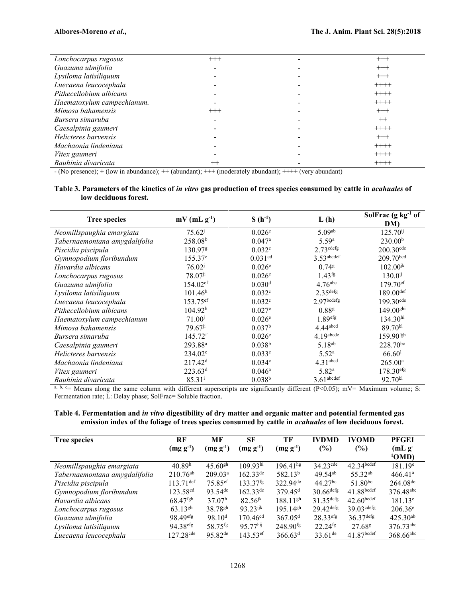| Lonchocarpus rugosus       | $+++$    | $+++$    |
|----------------------------|----------|----------|
| Guazuma ulmifolia          |          | $^{+++}$ |
| Lysiloma latisiliquum      |          | $^{+++}$ |
| Luecaena leucocephala      |          | $++++$   |
| Pithecellobium albicans    |          | $++++$   |
| Haematoxylum campechianum. |          | $++++$   |
| Mimosa bahamensis          | $^{+++}$ | $+++$    |
| Bursera simaruba           |          | $++$     |
| Caesalpinia gaumeri        |          | $++++-$  |
| Helicteres barvensis       |          | $+++$    |
| Machaonia lindeniana       |          | $++++-$  |
| Vitex gaumeri              |          | $++++$   |
| Bauhinia divaricata        | $^{++}$  | $++++-$  |

- (No presence); + (low in abundance); ++ (abundant); +++ (moderately abundant); ++++ (very abundant)

#### **Table 3. Parameters of the kinetics of** *in vitro* **gas production of trees species consumed by cattle in** *acahuales* **of low deciduous forest.**

| <b>Tree species</b>           | $mV$ (mL $g^{-1}$ )    | $S(h^{-1})$          | L(h)                   | Sol $\text{Frac}(\text{g kg}^{-1} \text{ of }$<br>DM) |
|-------------------------------|------------------------|----------------------|------------------------|-------------------------------------------------------|
| Neomillspaughia emargiata     | $75.62^{j}$            | 0.026 <sup>e</sup>   | 5.09 <sup>ab</sup>     | $125.70^{ij}$                                         |
| Tabernaemontana amygdalifolia | 258.08 <sup>b</sup>    | $0.047$ <sup>a</sup> | 5.59a                  | 230.00 <sup>b</sup>                                   |
| Piscidia piscipula            | 130.97g                | 0.032c               | $2.73$ cdefg           | $200.30$ <sup>cde</sup>                               |
| Gymnopodium floribundum       | $155.37^e$             | 0.031 <sup>cd</sup>  | $3.53$ abcdef          | $209.70^{bcd}$                                        |
| Havardia albicans             | 76.02 <sup>j</sup>     | 0.026 <sup>e</sup>   | $0.74$ <sup>g</sup>    | $102.00^{jk}$                                         |
| Lonchocarpus rugosus          | 78.07 <sup>ji</sup>    | $0.026^{\circ}$      | $1.43$ <sup>fg</sup>   | $130.0^{ij}$                                          |
| Guazuma ulmifolia             | $154.02$ <sup>ef</sup> | 0.030 <sup>d</sup>   | $4.76$ <sup>abc</sup>  | $179.70$ <sup>ef</sup>                                |
| Lysiloma latisiliquum         | 101.46 <sup>h</sup>    | 0.032c               | 2.35 <sup>defg</sup>   | $189.00^{def}$                                        |
| Luecaena leucocephala         | 153.75 <sup>ef</sup>   | 0.032c               | $2.97$ bcdefg          | $199.30$ <sup>cde</sup>                               |
| Pithecellobium albicans       | 104.92 <sup>h</sup>    | $0.027$ <sup>e</sup> | 0.88 <sup>g</sup>      | 149.00 <sup>ghi</sup>                                 |
| Haematoxylum campechianum     | $71.00^{j}$            | 0.026e               | $1.89$ efg             | 134.30 <sup>hi</sup>                                  |
| Mimosa bahamensis             | $79.67$ <sup>ji</sup>  | 0.037 <sup>b</sup>   | $4.44$ <sup>abcd</sup> | 89.70 <sup>kl</sup>                                   |
| Bursera simaruba              | $145.72$ <sup>f</sup>  | $0.026^{\circ}$      | $4.19a$ bcde           | $159.90$ <sup>fgh</sup>                               |
| Caesalpinia gaumeri           | 293.88 <sup>a</sup>    | 0.038 <sup>b</sup>   | 5.18 <sup>ab</sup>     | 228.70bc                                              |
| Helicteres barvensis          | $234.02^{\circ}$       | 0.033c               | 5.52 <sup>a</sup>      | 66.60 <sup>1</sup>                                    |
| Machaonia lindeniana          | 217.42 <sup>d</sup>    | 0.034 <sup>c</sup>   | 4.31 <sup>abcd</sup>   | $265.00^{\rm a}$                                      |
| Vitex gaumeri                 | 223.63 <sup>d</sup>    | $0.046^{\rm a}$      | 5.82 <sup>a</sup>      | $178.30$ <sup>efg</sup>                               |
| Bauhinia divaricata           | $85.31^{i}$            | 0.038 <sup>b</sup>   | $3.61$ abcdef          | 92.70kl                                               |

a, b, c= Means along the same column with different superscripts are significantly different (P<0.05); mV= Maximum volume; S: Fermentation rate; L: Delay phase; SolFrac= Soluble fraction.

**Table 4. Fermentation and** *in vitro* **digestibility of dry matter and organic matter and potential fermented gas emission index of the foliage of trees species consumed by cattle in** *acahuales* **of low deciduous forest.**

| <b>Tree species</b>           | RF<br>$(mg g^{-1})$     | MF<br>$(mg g-1)$      | SF<br>$(mg g-1)$       | TF<br>$(mg g^{-1})$    | <b>IVDMD</b><br>(%)     | <b>IVOMD</b><br>(%)      | <b>PFGEI</b><br>(mLg)<br>1OMD |
|-------------------------------|-------------------------|-----------------------|------------------------|------------------------|-------------------------|--------------------------|-------------------------------|
| Neomillspaughia emargiata     | 40.89 <sup>h</sup>      | $45.60$ <sup>gh</sup> | $109.93$ hi            | $196.41^{hg}$          | $34.23$ <sup>cde</sup>  | $42.34$ bcdef            | 181.19 <sup>e</sup>           |
| Tabernaemontana amygdalifolia | $210.76^{ab}$           | 209.03 <sup>a</sup>   | $162.33^{\text{de}}$   | 582.13 <sup>b</sup>    | $49.54^{ab}$            | 55.32 <sup>ab</sup>      | 466.41 <sup>a</sup>           |
| Piscidia piscipula            | $113.71^{\text{def}}$   | $75.85$ <sup>ef</sup> | $133.37$ <sup>fg</sup> | $322.94^{\text{de}}$   | $44.27^{bc}$            | $51.80^{bc}$             | $264.08^{\text{de}}$          |
| Gymnopodium floribundum       | 123.58 <sup>ed</sup>    | $93.54$ <sup>de</sup> | $162.33^{\text{de}}$   | $379.45$ <sup>d</sup>  | $30.66$ defg            | 41.88bcdef               | 376.48abc                     |
| Havardia albicans             | $68.47$ <sup>fgh</sup>  | 37.07 <sup>h</sup>    | $82.56^{jk}$           | $188.11$ <sup>gh</sup> | $31.35$ defg            | $42.60$ bcdef            | $181.13^e$                    |
| Lonchocarpus rugosus          | $63.13^{gh}$            | $38.78^{gh}$          | $93.23$ <sup>ijk</sup> | $195.14$ <sup>gh</sup> | $29.42$ <sup>defg</sup> | $39.03$ <sup>cdefg</sup> | $206.36^{\circ}$              |
| Guazuma ulmifolia             | $98.49$ <sup>efg</sup>  | 98.10 <sup>d</sup>    | $170.46$ <sup>cd</sup> | 367.05 <sup>d</sup>    | $28.33$ <sup>efg</sup>  | $36.37$ defg             | $425.30^{ab}$                 |
| Lysiloma latisiliquum         | $94.38$ <sup>efg</sup>  | 58.75 <sup>fg</sup>   | $95.77$ hij            | $248.90$ <sup>fg</sup> | $22.24$ <sup>fg</sup>   | 27.68 <sup>g</sup>       | $376.73$ <sup>abc</sup>       |
| Luecaena leucocephala         | $127.28$ <sup>cde</sup> | $95.82^{\text{de}}$   | $143.53$ <sup>ef</sup> | 366.63 <sup>d</sup>    | $33.61^{\text{de}}$     | 41.87 <sup>bcdef</sup>   | $368.66^{abc}$                |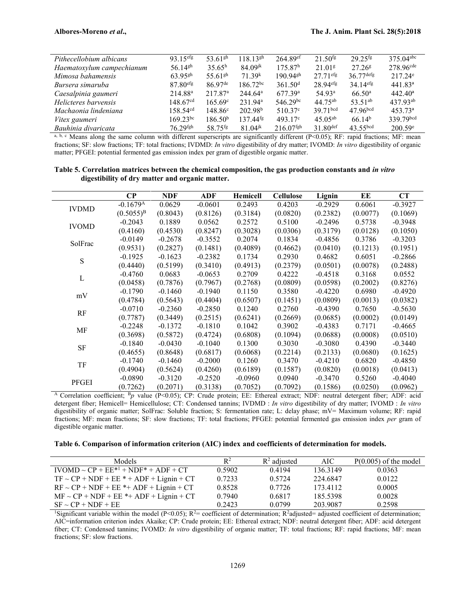| Pithecellobium albicans   | $93.15$ <sup>efg</sup> | 53.61 <sup>gh</sup>   | $118.13$ <sup>gh</sup> | $264.89$ <sup>ef</sup>  | $21.50$ <sup>fg</sup>  | $29.25$ <sup>fg</sup>  | $375.04$ <sup>abc</sup> |
|---------------------------|------------------------|-----------------------|------------------------|-------------------------|------------------------|------------------------|-------------------------|
| Haematoxylum campechianum | $56.14$ <sup>gh</sup>  | $35.65^h$             | $84.09$ <sup>jk</sup>  | 175.87 <sup>h</sup>     | 21.01 <sup>g</sup>     | $27.26$ <sup>g</sup>   | 278.96 <sup>cde</sup>   |
| Mimosa bahamensis         | $63.95$ <sup>gh</sup>  | 55.61 <sup>gh</sup>   | 71.39 <sup>k</sup>     | $190.94$ <sup>gh</sup>  | $27.71$ <sup>efg</sup> | $36.77$ defg           | $217.24^e$              |
| Bursera simaruba          | $87.80$ <sup>efg</sup> | $86.97$ <sup>de</sup> | $186.72^{bc}$          | 361.50 <sup>d</sup>     | 28.94 <sup>efg</sup>   | $34.14$ <sup>efg</sup> | 441.83 <sup>a</sup>     |
| Caesalpinia gaumeri       | 214.88 <sup>a</sup>    | 217.87 <sup>a</sup>   | $244.64^{\circ}$       | 677.39a                 | 54.93 <sup>a</sup>     | $66.50^{\circ}$        | $442.40^{\circ}$        |
| Helicteres barvensis      | 148.67 <sup>cd</sup>   | $165.69^{\circ}$      | $231.94^{\rm a}$       | $546.29^{bc}$           | $44.75^{ab}$           | $53.51^{ab}$           | $437.93^{ab}$           |
| Machaonia lindeniana      | $158.54^{cd}$          | $148.86^{\circ}$      | 202.98 <sup>b</sup>    | $510.37^{\circ}$        | $39.71$ <sub>bcd</sub> | 47.96 <sup>bcd</sup>   | $453.73^{\circ}$        |
| Vitex gaumeri             | $169.23^{bc}$          | 186.50 <sup>b</sup>   | $137.44$ <sup>fg</sup> | $493.17^{\circ}$        | $45.05^{ab}$           | 66.14 <sup>b</sup>     | 339.79bcd               |
| Bauhinia divaricata       | $76.29$ <sup>fgh</sup> | 58.75 <sup>fg</sup>   | $81.04$ <sup>jk</sup>  | $216.07$ <sup>fgh</sup> | $31.80$ def            | 43.55 <sup>bcd</sup>   | $200.59^{\circ}$        |

a, b, c Means along the same column with different superscripts are significantly different (P<0.05); RF: rapid fractions; MF: mean fractions; SF: slow fractions; TF: total fractions; IVDMD: *In vitro* digestibility of dry matter; IVOMD: *In vitro* digestibility of organic matter; PFGEI: potential fermented gas emission index per gram of digestible organic matter.

**Table 5. Correlation matrices between the chemical composition, the gas production constants and** *in vitro* **digestibility of dry matter and organic matter.**

|              | $\bf CP$               | <b>NDF</b> | ADF       | <b>Hemicell</b> | <b>Cellulose</b> | Lignin    | EE       | CT        |
|--------------|------------------------|------------|-----------|-----------------|------------------|-----------|----------|-----------|
| <b>IVDMD</b> | $-0.1679$ <sup>A</sup> | 0.0629     | $-0.0601$ | 0.2493          | 0.4203           | $-0.2929$ | 0.6061   | $-0.3927$ |
|              | $(0.5055)^{B}$         | (0.8043)   | (0.8126)  | (0.3184)        | (0.0820)         | (0.2382)  | (0.0077) | (0.1069)  |
| <b>IVOMD</b> | $-0.2043$              | 0.1889     | 0.0562    | 0.2572          | 0.5100           | $-0.2496$ | 0.5738   | $-0.3948$ |
|              | (0.4160)               | (0.4530)   | (0.8247)  | (0.3028)        | (0.0306)         | (0.3179)  | (0.0128) | (0.1050)  |
| SolFrac      | $-0.0149$              | $-0.2678$  | $-0.3552$ | 0.2074          | 0.1834           | $-0.4856$ | 0.3786   | $-0.3203$ |
|              | (0.9531)               | (0.2827)   | (0.1481)  | (0.4089)        | (0.4662)         | (0.0410)  | (0.1213) | (0.1951)  |
| S            | $-0.1925$              | $-0.1623$  | $-0.2382$ | 0.1734          | 0.2930           | 0.4682    | 0.6051   | $-0.2866$ |
|              | (0.4440)               | (0.5199)   | (0.3410)  | (0.4913)        | (0.2379)         | (0.0501)  | (0.0078) | (0.2488)  |
| L            | $-0.4760$              | 0.0683     | $-0.0653$ | 0.2709          | 0.4222           | $-0.4518$ | 0.3168   | 0.0552    |
|              | (0.0458)               | (0.7876)   | (0.7967)  | (0.2768)        | (0.0809)         | (0.0598)  | (0.2002) | (0.8276)  |
| mV           | $-0.1790$              | $-0.1460$  | $-0.1940$ | 0.1150          | 0.3580           | $-0.4220$ | 0.6980   | $-0.4920$ |
|              | (0.4784)               | (0.5643)   | (0.4404)  | (0.6507)        | (0.1451)         | (0.0809)  | (0.0013) | (0.0382)  |
| RF           | $-0.0710$              | $-0.2360$  | $-0.2850$ | 0.1240          | 0.2760           | $-0.4390$ | 0.7650   | $-0.5630$ |
|              | (0.7787)               | (0.3449)   | (0.2515)  | (0.6241)        | (0.2669)         | (0.0685)  | (0.0002) | (0.0149)  |
| MF           | $-0.2248$              | $-0.1372$  | $-0.1810$ | 0.1042          | 0.3902           | $-0.4383$ | 0.7171   | $-0.4665$ |
|              | (0.3698)               | (0.5872)   | (0.4724)  | (0.6808)        | (0.1094)         | (0.0688)  | (0.0008) | (0.0510)  |
| $\rm{SF}$    | $-0.1840$              | $-0.0430$  | $-0.1040$ | 0.1300          | 0.3030           | $-0.3080$ | 0.4390   | $-0.3440$ |
|              | (0.4655)               | (0.8648)   | (0.6817)  | (0.6068)        | (0.2214)         | (0.2133)  | (0.0680) | (0.1625)  |
| TF           | $-0.1740$              | $-0.1460$  | $-0.2000$ | 0.1260          | 0.3470           | $-0.4210$ | 0.6820   | $-0.4850$ |
|              | (0.4904)               | (0.5624)   | (0.4260)  | (0.6189)        | (0.1587)         | (0.0820)  | (0.0018) | (0.0413)  |
| PFGEI        | $-0.0890$              | $-0.3120$  | $-0.2520$ | $-0.0960$       | 0.0940           | $-0.3470$ | 0.5260   | $-0.4040$ |
|              | (0.7262)               | (0.2071)   | (0.3138)  | (0.7052)        | (0.7092)         | (0.1586)  | (0.0250) | (0.0962)  |

<sup>A</sup> Correlation coefficient; <sup>B</sup>*p* value (P<0.05); CP: Crude protein; EE: Ethereal extract; NDF: neutral detergent fiber; ADF: acid detergent fiber; Hemicell= Hemicellulose; CT: Condensed tannins; IVDMD : *In vitro* digestibility of dry matter; IVOMD : *In vitro* digestibility of organic matter; SolFrac: Soluble fraction; S: fermentation rate; L: delay phase; mV= Maximum volume; RF: rapid fractions; MF: mean fractions; SF: slow fractions; TF: total fractions; PFGEI: potential fermented gas emission index *per* gram of digestible organic matter.

**Table 6. Comparison of information criterion (AIC) index and coefficients of determination for models.**

| <b>Models</b>                                 | $R^2$  | $\mathbb{R}^2$ adjusted | AIC-     | $P(0.005)$ of the model |
|-----------------------------------------------|--------|-------------------------|----------|-------------------------|
| $IVOMD \sim CP + EF^{*1} + NDF^* + ADF + CT$  | 0.5902 | 0.4194                  | 136.3149 | 0.0363                  |
| $TF \sim CP + NDF + EE^* + ADF + Lignin + CT$ | 0.7233 | 0.5724                  | 224.6847 | 0.0122                  |
| $RF \sim CP + NDF + EE$ *+ ADF + Lignin + CT  | 0.8528 | 0.7726                  | 173.4112 | 0.0005                  |
| $MF \sim CP + NDF + EE^* + ADF + Lignin + CT$ | 0.7940 | 0.6817                  | 185.5398 | 0.0028                  |
| $SF \sim CP + NDF + EE$                       | 0.2423 | 0.0799                  | 203.9087 | 0.2598                  |

<sup>1</sup>Significant variable within the model (P<0.05);  $R^2$ = coefficient of determination;  $R^2$ adjusted= adjusted coefficient of determination; AIC=information criterion index Akaike; CP: Crude protein; EE: Ethereal extract; NDF: neutral detergent fiber; ADF: acid detergent fiber; CT: Condensed tannins; IVOMD: *In vitro* digestibility of organic matter; TF: total fractions; RF: rapid fractions; MF: mean fractions; SF: slow fractions.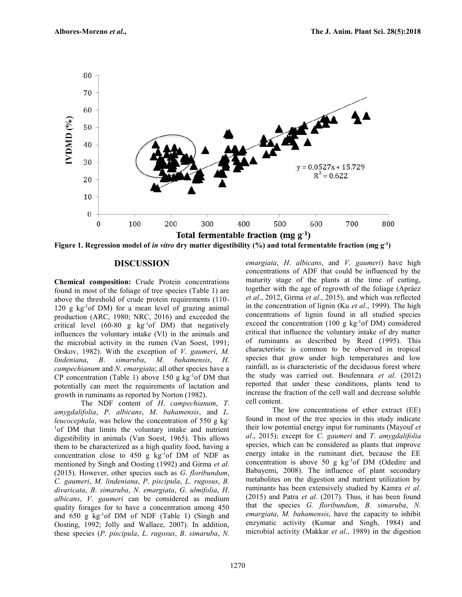

**Figure 1. Regression model of** *in vitro* **dry matter digestibility (%) and total fermentable fraction (mg g-1)**

#### **DISCUSSION**

**Chemical composition:** Crude Protein concentrations found in most of the foliage of tree species (Table 1) are above the threshold of crude protein requirements (110- 120 g  $kg^{-1}$ of DM) for a mean level of grazing animal production (ARC, 1980; NRC, 2016) and exceeded the critical level  $(60-80 \text{ g kg}^{-1} \text{ of DM})$  that negatively influences the voluntary intake (VI) in the animals and the microbial activity in the rumen (Van Soest, 1991; Orskov, 1982). With the exception of *V*. *gaumeri*, *M*. *lindeniana*, *B*. *simaruba*, *M*. *bahamensis*, *H*. *campechianum* and *N*. *emargiata*; all other species have a CP concentration (Table 1) above 150 g  $kg$ <sup>-1</sup>of DM that potentially can meet the requirements of lactation and growth in ruminants as reported by Norton (1982).

The NDF content of *H*. *campechianum*, *T*. *amygdalifolia*, *P*. *albicans*, *M*. *bahamensis*, and *L*. *leucocephala*, was below the concentration of 550 g kg<sup>-</sup> <sup>1</sup>of DM that limits the voluntary intake and nutrient digestibility in animals (Van Soest, 1965). This allows them to be characterized as a high quality food, having a concentration close to  $450$  g kg<sup>-1</sup>of DM of NDF as mentioned by Singh and Oosting (1992) and Girma *et al*. (2015). However, other species such as *G*. *floribundum*, *C. gaumeri*, *M. lindeniana*, *P*. *piscipula*, *L*. *rugosus*, *B. divaricata*, *B*. *simaruba*, *N*. *emargiata*, *G*. *ulmifolia*, *H*. *albicans*, *V*. *gaumeri* can be considered as medium quality forages for to have a concentration among 450 and  $650 \text{ g kg}^{-1}$  of DM of NDF (Table 1) (Singh and Oosting, 1992; Jolly and Wallace, 2007). In addition, these species (*P*. *piscipula*, *L*. *rugosus*, *B*. *simaruba*, *N*. *emargiata*, *H*. *albicans*, and *V*. *gaumeri*) have high concentrations of ADF that could be influenced by the maturity stage of the plants at the time of cutting, together with the age of regrowth of the foliage (Apráez *et al*., 2012, Girma *et al*., 2015), and which was reflected in the concentration of lignin (Ku *et al*., 1999). The high concentrations of lignin found in all studied species exceed the concentration  $(100 \text{ g kg}^{-1} \text{ of DM})$  considered critical that influence the voluntary intake of dry matter of ruminants as described by Reed (1995). This characteristic is common to be observed in tropical species that grow under high temperatures and low rainfall, as is characteristic of the deciduous forest where the study was carried out. Boufennara *et al*. (2012) reported that under these conditions, plants tend to increase the fraction of the cell wall and decrease soluble cell content.

The low concentrations of ether extract (EE) found in most of the tree species in this study indicate their low potential energy input for ruminants (Mayouf *et al*., 2015); except for *C*. *gaumeri* and *T*. *amygdalifolia* species, which can be considered as plants that improve energy intake in the ruminant diet, because the EE concentration is above 50 g  $kg^{-1}$ of DM (Odedire and Babayemi, 2008). The influence of plant secondary metabolites on the digestion and nutrient utilization by ruminants has been extensively studied by Kamra *et al*. (2015) and Patra *et al*. (2017). Thus, it has been found that the species *G. floribundum*, *B. simaruba*, *N. emargiata*, *M. bahamensis*, have the capacity to inhibit enzymatic activity (Kumar and Singh, 1984) and microbial activity (Makkar *et al*., 1989) in the digestion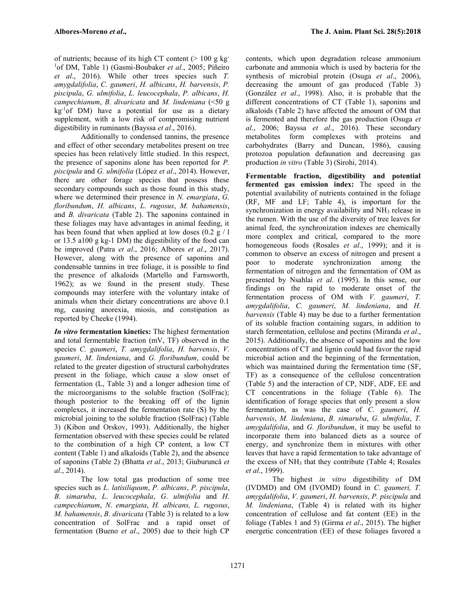of nutrients; because of its high CT content  $(>100 \text{ g kg}^{-1})$ <sup>1</sup>of DM, Table 1) (Gasmi-Boubaker *et al*., 2005; Piñeiro *et al*., 2016). While other trees species such *T. amygdalifolia*, *C. gaumeri*, *H. albicans*, *H. barvensis*, *P. piscipula*, *G. ulmifolia*, *L. leucocephala*, *P. albicans*, *H. campechianum*, *B. divaricata* and *M. lindeniana* (<50 g  $kg<sup>-1</sup>of DM$ ) have a potential for use as a dietary supplement, with a low risk of compromising nutrient digestibility in ruminants (Bayssa *et al*., 2016).

Additionally to condensed tannins, the presence and effect of other secondary metabolites present on tree species has been relatively little studied. In this respect, the presence of saponins alone has been reported for *P. piscipula* and *G. ulmifolia* (López *et al*., 2014). However, there are other forage species that possess these secondary compounds such as those found in this study, where we determined their presence in *N. emargiata*, *G. floribundum*, *H. albicans*, *L. rugosus*, *M. bahamensis*, and *B. divaricata* (Table 2). The saponins contained in these foliages may have advantages in animal feeding, it has been found that when applied at low doses  $(0.2 \text{ g} / 1)$ or 13.5 a100 g kg-1 DM) the digestibility of the food can be improved (Patra *et al*., 2016; Albores *et al*., 2017). However, along with the presence of saponins and condensable tannins in tree foliage, it is possible to find the presence of alkaloids (Martello and Farnsworth, 1962); as we found in the present study. These compounds may interfere with the voluntary intake of animals when their dietary concentrations are above 0.1 mg, causing anorexia, miosis, and constipation as reported by Cheeke (1994).

*In vitro* **fermentation kinetics:** The highest fermentation and total fermentable fraction (mV, TF) observed in the species *C. gaumeri*, *T. amygdalifolia*, *H. barvensis*, *V. gaumeri*, *M*. *lindeniana*, and *G. floribundum*, could be related to the greater digestion of structural carbohydrates present in the foliage, which cause a slow onset of fermentation (L, Table 3) and a longer adhesion time of the microorganisms to the soluble fraction (SolFrac); though posterior to the breaking off of the lignin complexes, it increased the fermentation rate (S) by the microbial joining to the soluble fraction (SolFrac) (Table 3) (Kibon and Orskov, 1993). Additionally, the higher fermentation observed with these species could be related to the combination of a high CP content, a low CT content (Table 1) and alkaloids (Table 2), and the absence of saponins (Table 2) (Bhatta *et al*., 2013; Giuburuncă *et al*., 2014).

The low total gas production of some tree species such as *L. latisiliquum*, *P. albicans*, *P. piscipula*, *B*. *simaruba*, *L*. *leucocephala*, *G*. *ulmifolia* and *H. campechianum*, *N*. *emargiata*, *H. albicans, L. rugosus*, *M. bahamensis*, *B*. *divaricata* (Table 3) is related to a low concentration of SolFrac and a rapid onset of fermentation (Bueno *et al*., 2005) due to their high CP

contents, which upon degradation release ammonium carbonate and ammonia which is used by bacteria for the synthesis of microbial protein (Osuga *et al*., 2006), decreasing the amount of gas produced (Table 3) (González *et al*., 1998). Also, it is probable that the different concentrations of CT (Table 1), saponins and alkaloids (Table 2) have affected the amount of OM that is fermented and therefore the gas production (Osuga *et al*., 2006; Bayssa *et al*., 2016). These secondary metabolites form complexes with proteins and carbohydrates (Barry and Duncan, 1986), causing protozoa population defaunation and decreasing gas production *in vitro* (Table 3) (Sirohi, 2014).

**Fermentable fraction, digestibility and potential fermented gas emission index:** The speed in the potential availability of nutrients contained in the foliage (RF, MF and LF; Table 4), is important for the synchronization in energy availability and NH<sub>3</sub> release in the rumen. With the use of the diversity of tree leaves for animal feed, the synchronization indexes are chemically more complex and critical, compared to the more homogeneous foods (Rosales *et al*., 1999); and it is common to observe an excess of nitrogen and present a poor to moderate synchronization among the fermentation of nitrogen and the fermentation of OM as presented by Nsahlai *et al*. (1995). In this sense, our findings on the rapid to moderate onset of the fermentation process of OM with *V. gaumeri*, *T. amygdalifolia*, *C. gaumeri*, *M. lindeniana*, and *H. barvensis* (Table 4) may be due to a further fermentation of its soluble fraction containing sugars, in addition to starch fermentation, cellulose and pectins (Miranda *et al*., 2015). Additionally, the absence of saponins and the low concentrations of CT and lignin could had favor the rapid microbial action and the beginning of the fermentation, which was maintained during the fermentation time (SF, TF) as a consequence of the cellulose concentration (Table 5) and the interaction of CP, NDF, ADF, EE and CT concentrations in the foliage (Table 6). The identification of forage species that only present a slow fermentation, as was the case of *C. gaumeri*, *H. barvensis*, *M. lindeniana*, *B. simaruba*, *G. ulmifolia*, *T. amygdalifolia*, and *G. floribundum*, it may be useful to incorporate them into balanced diets as a source of energy, and synchronize them in mixtures with other leaves that have a rapid fermentation to take advantage of the excess of  $NH<sub>3</sub>$  that they contribute (Table 4; Rosales *et al*., 1999).

The highest *in vitro* digestibility of DM (IVDMD) and OM (IVOMD) found in *C. gaumeri, T. amygdalifolia*, *V. gaumeri*, *H. barvensis*, *P. piscipula* and *M. lindeniana*, (Table 4) is related with its higher concentration of cellulose and fat content (EE) in the foliage (Tables 1 and 5) (Girma *et al*., 2015). The higher energetic concentration (EE) of these foliages favored a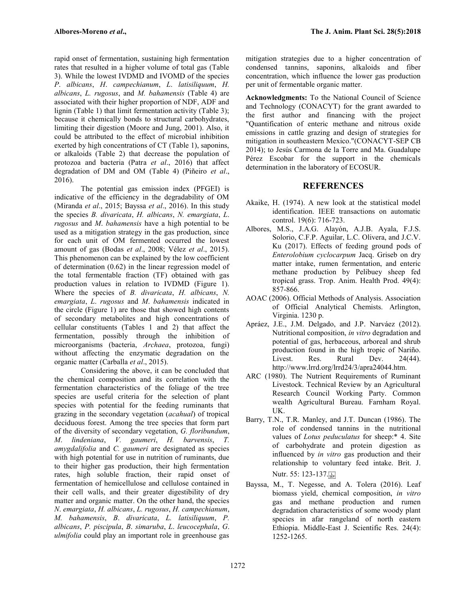rapid onset of fermentation, sustaining high fermentation rates that resulted in a higher volume of total gas (Table 3). While the lowest IVDMD and IVOMD of the species *P*. *albicans*, *H*. *campechianum*, *L*. *latisiliquum*, *H. albicans*, *L. rugosus*, and *M. bahamensis* (Table 4) are associated with their higher proportion of NDF, ADF and lignin (Table 1) that limit fermentation activity (Table 3); because it chemically bonds to structural carbohydrates, limiting their digestion (Moore and Jung, 2001). Also, it could be attributed to the effect of microbial inhibition exerted by high concentrations of CT (Table 1), saponins, or alkaloids (Table 2) that decrease the population of protozoa and bacteria (Patra *et al*., 2016) that affect degradation of DM and OM (Table 4) (Piñeiro *et al*., 2016).

The potential gas emission index (PFGEI) is indicative of the efficiency in the degradability of OM (Miranda *et al*., 2015; Bayssa *et al*., 2016). In this study the species *B. divaricata*, *H. albicans*, *N. emargiata*, *L*. *rugosus* and *M*. *bahamensis* have a high potential to be used as a mitigation strategy in the gas production, since for each unit of OM fermented occurred the lowest amount of gas (Bodas *et al*., 2008; Vélez *et al*., 2015). This phenomenon can be explained by the low coefficient of determination (0.62) in the linear regression model of the total fermentable fraction (TF) obtained with gas production values in relation to IVDMD (Figure 1). Where the species of *B. divaricata*, *H. albicans*, *N. emargiata*, *L*. *rugosus* and *M*. *bahamensis* indicated in the circle (Figure 1) are those that showed high contents of secondary metabolites and high concentrations of cellular constituents (Tables 1 and 2) that affect the fermentation, possibly through the inhibition of microorganisms (bacteria, *Archaea*, protozoa, fungi) without affecting the enzymatic degradation on the organic matter (Carballa *et al*., 2015).

Considering the above, it can be concluded that the chemical composition and its correlation with the fermentation characteristics of the foliage of the tree species are useful criteria for the selection of plant species with potential for the feeding ruminants that grazing in the secondary vegetation (*acahual*) of tropical deciduous forest. Among the tree species that form part of the diversity of secondary vegetation, *G. floribundum*, *M*. *lindeniana*, *V. gaumeri*, *H. barvensis*, *T. amygdalifolia* and *C. gaumeri* are designated as species with high potential for use in nutrition of ruminants, due to their higher gas production, their high fermentation rates, high soluble fraction, their rapid onset of fermentation of hemicellulose and cellulose contained in their cell walls, and their greater digestibility of dry matter and organic matter. On the other hand, the species *N*. *emargiata*, *H. albicans*, *L. rugosus*, *H. campechianum*, *M. bahamensis*, *B*. *divaricata*, *L. latisiliquum*, *P. albicans*, *P. piscipula*, *B*. *simaruba*, *L*. *leucocephala*, *G*. *ulmifolia* could play an important role in greenhouse gas

mitigation strategies due to a higher concentration of condensed tannins, saponins, alkaloids and fiber concentration, which influence the lower gas production per unit of fermentable organic matter.

**Acknowledgments:** To the National Council of Science and Technology (CONACYT) for the grant awarded to the first author and financing with the project "Quantification of enteric methane and nitrous oxide emissions in cattle grazing and design of strategies for mitigation in southeastern Mexico."(CONACYT-SEP CB 2014); to Jesús Carmona de la Torre and Ma. Guadalupe Pérez Escobar for the support in the chemicals determination in the laboratory of ECOSUR.

# **REFERENCES**

- Akaike, H. (1974). A new look at the statistical model identification. IEEE transactions on automatic control. 19(6): 716-723.
- Albores, M.S., J.A.G. Alayón, A.J.B. Ayala, F.J.S. Solorio, C.F.P. Aguilar, L.C. Olivera, and J.C.V. Ku (2017). Effects of feeding ground pods of *Enterolobium cyclocarpum* Jacq. Griseb on dry matter intake, rumen fermentation, and enteric methane production by Pelibuey sheep fed tropical grass. Trop. Anim. Health Prod. 49(4): 857-866.
- AOAC (2006). Official Methods of Analysis. Association of Official Analytical Chemists. Arlington, Virginia. 1230 p.
- Apráez, J.E., J.M. Delgado, and J.P. Narváez (2012). Nutritional composition, *in vitro* degradation and potential of gas, herbaceous, arboreal and shrub production found in the high tropic of Nariño. Livest. Res. Rural Dev. 24(44). http://www.lrrd.org/lrrd24/3/apra24044.htm.
- ARC (1980). The Nutrient Requirements of Ruminant Livestock. Technical Review by an Agricultural Research Council Working Party. Common wealth Agricultural Bureau. Farnham Royal. UK.
- Barry, T.N., T.R. Manley, and J.T. Duncan (1986). The role of condensed tannins in the nutritional values of *Lotus peduculatus* for sheep:\* 4. Site of carbohydrate and protein digestion as influenced by *in vitro* gas production and their relationship to voluntary feed intake. Brit. J. Nutr. 55: 123-137.
- Bayssa, M., T. Negesse, and A. Tolera (2016). Leaf biomass yield, chemical composition, *in vitro* gas and methane production and rumen degradation characteristics of some woody plant species in afar rangeland of north eastern Ethiopia. Middle-East J. Scientific Res. 24(4): 1252-1265.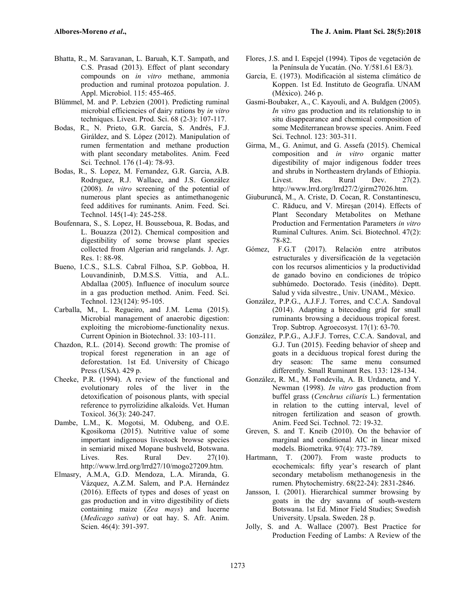- Bhatta, R., M. Saravanan, L. Baruah, K.T. Sampath, and C.S. Prasad (2013). Effect of plant secondary compounds on *in vitro* methane, ammonia production and ruminal protozoa population. J. Appl. Microbiol. 115: 455-465.
- Blümmel, M. and P. Lebzien (2001). Predicting ruminal microbial efficiencies of dairy rations by *in vitro* techniques. Livest. Prod. Sci. 68 (2-3): 107-117.
- Bodas, R., N. Prieto, G.R. García, S. Andrés, F.J. Giráldez, and S. López (2012). Manipulation of rumen fermentation and methane production with plant secondary metabolites. Anim. Feed Sci. Technol. 176 (1-4): 78-93.
- Bodas, R., S. Lopez, M. Fernandez, G.R. Garcia, A.B. Rodrıguez, R.J. Wallace, and J.S. González (2008). *In vitro* screening of the potential of numerous plant species as antimethanogenic feed additives for ruminants. Anim. Feed. Sci. Technol. 145(1-4): 245-258.
- Boufennara, S., S. Lopez, H. Bousseboua, R. Bodas, and L. Bouazza (2012). Chemical composition and digestibility of some browse plant species collected from Algerian arid rangelands. J. Agr. Res. 1: 88-98.
- Bueno, I.C.S., S.L.S. Cabral Filhoa, S.P. Gobboa, H. Louvandininb, D.M.S.S. Vittia, and A.L. Abdallaa (2005). Influence of inoculum source in a gas production method. Anim. Feed. Sci. Technol. 123(124): 95-105.
- Carballa, M., L. Regueiro, and J.M. Lema (2015). Microbial management of anaerobic digestion: exploiting the microbiome-functionality nexus. Current Opinion in Biotechnol. 33: 103-111.
- Chazdon, R.L. (2014). Second growth: The promise of tropical forest regeneration in an age of deforestation. 1st Ed. University of Chicago Press (USA). 429 p.
- Cheeke, P.R. (1994). A review of the functional and evolutionary roles of the liver in the detoxification of poisonous plants, with special reference to pyrrolizidine alkaloids. Vet. Human Toxicol. 36(3): 240-247.
- Dambe, L.M., K. Mogotsi, M. Odubeng, and O.E. Kgosikoma (2015). Nutritive value of some important indigenous livestock browse species in semiarid mixed Mopane bushveld, Botswana. Lives. Res. Rural Dev. 27(10). http://www.lrrd.org/lrrd27/10/mogo27209.htm.
- Elmasry, A.M.A, G.D. Mendoza, L.A. Miranda, G. Vázquez, A.Z.M. Salem, and P.A. Hernández (2016). Effects of types and doses of yeast on gas production and in vitro digestibility of diets containing maize (*Zea mays*) and lucerne (*Medicago sativa*) or oat hay. S. Afr. Anim. Scien. 46(4): 391-397.
- Flores, J.S. and I. Espejel (1994). Tipos de vegetación de la Península de Yucatán. (No. Y/581.61 E8/3).
- García, E. (1973). Modificación al sistema climático de Koppen. 1st Ed. Instituto de Geografía. UNAM (México). 246 p.
- Gasmi-Boubaker, A., C. Kayouli, and A. Buldgen (2005). *In vitro* gas production and its relationship to in situ disappearance and chemical composition of some Mediterranean browse species. Anim. Feed Sci. Technol. 123: 303-311.
- Girma, M., G. Animut, and G. Assefa (2015). Chemical composition and *in vitro* organic matter digestibility of major indigenous fodder trees and shrubs in Northeastern drylands of Ethiopia.<br>Livest. Res. Rural Dev. 27(2). Livest. Res. Rural Dev. 27(2). http://www.lrrd.org/lrrd27/2/girm27026.htm.
- Giuburuncă, M., A. Criste, D. Cocan, R. Constantinescu, C. Răducu, and V. Mireșan (2014). Effects of Plant Secondary Metabolites on Methane Production and Fermentation Parameters *in vitro* Ruminal Cultures. Anim. Sci. Biotechnol. 47(2): 78-82.
- Gómez, F.G.T (2017). Relación entre atributos estructurales y diversificación de la vegetación con los recursos alimenticios y la productividad de ganado bovino en condiciones de trópico subhúmedo. Doctorado. Tesis (inédito). Deptt. Salud y vida silvestre., Univ. UNAM., México.
- González, P.P.G., A.J.F.J. Torres, and C.C.A. Sandoval (2014). Adapting a bitecoding grid for small ruminants browsing a deciduous tropical forest. Trop. Subtrop. Agroecosyst. 17(1): 63-70.
- González, P.P.G., A.J.F.J. Torres, C.C.A. Sandoval, and G.J. Tun (2015). Feeding behavior of sheep and goats in a deciduous tropical forest during the dry season: The same menu consumed differently. Small Ruminant Res. 133: 128-134.
- González, R. M., M. Fondevila, A. B. Urdaneta, and Y. Newman (1998). *In vitro* gas production from buffel grass (*Cenchrus ciliaris* L.) fermentation in relation to the cutting interval, level of nitrogen fertilization and season of growth. Anim. Feed Sci. Technol. 72: 19-32.
- Greven, S. and T. Kneib (2010). On the behavior of marginal and conditional AIC in linear mixed models. Biometrika. 97(4): 773-789.
- Hartmann, T. (2007). From waste products to ecochemicals: fifty year's research of plant secondary metabolism methanogenesis in the rumen. Phytochemistry. 68(22-24): 2831-2846.
- Jansson, I. (2001). Hierarchical summer browsing by goats in the dry savanna of south-western Botswana. 1st Ed. Minor Field Studies; Swedish University. Upsala. Sweden. 28 p.
- Jolly, S. and A. Wallace (2007). Best Practice for Production Feeding of Lambs: A Review of the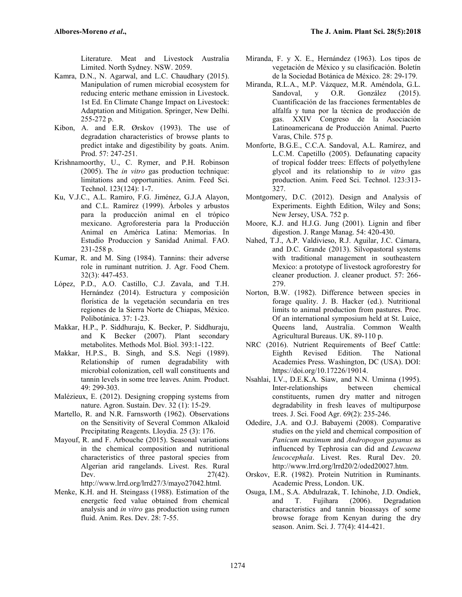Literature. Meat and Livestock Australia Limited. North Sydney. NSW. 2059.

- Kamra, D.N., N. Agarwal, and L.C. Chaudhary (2015). Manipulation of rumen microbial ecosystem for reducing enteric methane emission in Livestock. 1st Ed. En Climate Change Impact on Livestock: Adaptation and Mitigation. Springer, New Delhi. 255-272 p.
- Kibon, A. and E.R. Ørskov (1993). The use of degradation characteristics of browse plants to predict intake and digestibility by goats. Anim. Prod. 57: 247-251.
- Krishnamoorthy, U., C. Rymer, and P.H. Robinson (2005). The *in vitro* gas production technique: limitations and opportunities. Anim. Feed Sci. Technol. 123(124): 1-7.
- Ku, V.J.C., A.L. Ramiro, F.G. Jiménez, G.J.A Alayon, and C.L. Ramírez (1999). Árboles y arbustos para la producción animal en el trópico mexicano. Agroforesteria para la Producción Animal en América Latina: Memorias. In Estudio Produccion y Sanidad Animal. FAO. 231-258 p.
- Kumar, R. and M. Sing (1984). Tannins: their adverse role in ruminant nutrition. J. Agr. Food Chem. 32(3): 447-453.
- López, P.D., A.O. Castillo, C.J. Zavala, and T.H. Hernández (2014). Estructura y composición florística de la vegetación secundaria en tres regiones de la Sierra Norte de Chiapas, México. Polibotánica. 37: 1-23.
- Makkar, H.P., P. Siddhuraju, K. Becker, P. Siddhuraju, and K Becker (2007). Plant secondary metabolites. Methods Mol. Biol. 393:1-122.
- Makkar, H.P.S., B. Singh, and S.S. Negi (1989). Relationship of rumen degradability with microbial colonization, cell wall constituents and tannin levels in some tree leaves. Anim. Product. 49: 299-303.
- Malézieux, E. (2012). Designing cropping systems from nature. Agron. Sustain. Dev. 32 (1): 15-29.
- Martello, R. and N.R. Farnsworth (1962). Observations on the Sensitivity of Several Common Alkaloid Precipitating Reagents. Lloydia. 25 (3): 176.
- Mayouf, R. and F. Arbouche (2015). Seasonal variations in the chemical composition and nutritional characteristics of three pastoral species from Algerian arid rangelands. Livest. Res. Rural Dev. 27(42). http://www.lrrd.org/lrrd27/3/mayo27042.html.
- Menke, K.H. and H. Steingass (1988). Estimation of the energetic feed value obtained from chemical analysis and *in vitro* gas production using rumen fluid. Anim. Res. Dev. 28: 7-55.
- Miranda, F. y X. E., Hernández (1963). Los tipos de vegetación de México y su clasificación. Boletín de la Sociedad Botánica de México. 28: 29-179.
- Miranda, R.L.A., M.P. Vázquez, M.R. Améndola, G.L. Sandoval, y O.R. González (2015). Cuantificación de las fracciones fermentables de alfalfa y tuna por la técnica de producción de gas. XXIV Congreso de la Asociación Latinoamericana de Producción Animal. Puerto Varas, Chile. 575 p.
- Monforte, B.G.E., C.C.A. Sandoval, A.L. Ramírez, and L.C.M. Capetillo (2005). Defaunating capacity of tropical fodder trees: Effects of polyethylene glycol and its relationship to *in vitro* gas production. Anim. Feed Sci. Technol. 123:313- 327.
- Montgomery, D.C. (2012). Design and Analysis of Experiments. Eighth Edition, Wiley and Sons; New Jersey, USA. 752 p.
- Moore, K.J. and H.J.G. Jung (2001). Lignin and fiber digestion. J. Range Manag. 54: 420-430.
- Nahed, T.J., A.P. Valdivieso, R.J. Aguilar, J.C. Cámara, and D.C. Grande (2013). Silvopastoral systems with traditional management in southeastern Mexico: a prototype of livestock agroforestry for cleaner production. J. cleaner product. 57: 266- 279.
- Norton, B.W. (1982). Difference between species in forage quality. J. B. Hacker (ed.). Nutritional limits to animal production from pastures. Proc. Of an international symposium held at St. Luice, Queens land, Australia. Common Wealth Agricultural Bureaus. UK. 89-110 p.
- NRC (2016). Nutrient Requirements of Beef Cattle: Eighth Revised Edition. The National Academies Press. Washington, DC (USA). DOI: https://doi.org/10.17226/19014.
- Nsahlai, I.V., D.E.K.A. Siaw, and N.N. Uminna (1995). Inter-relationships between chemical constituents, rumen dry matter and nitrogen degradability in fresh leaves of multipurpose trees. J. Sci. Food Agr. 69(2): 235-246.
- Odedire, J.A. and O.J. Babayemi (2008). Comparative studies on the yield and chemical composition of *Panicum maximum* and *Andropogon gayanus* as influenced by Tephrosia can did and *Leucaena leucocephala*. Livest. Res. Rural Dev. 20. http://www.lrrd.org/lrrd20/2/oded20027.htm.
- Orskov, E.R. (1982). Protein Nutrition in Ruminants. Academic Press, London. UK.
- Osuga, I.M., S.A. Abdulrazak, T. Ichinohe, J.D. Ondiek, and T. Fujihara (2006). Degradation characteristics and tannin bioassays of some browse forage from Kenyan during the dry season. Anim. Sci. J. 77(4): 414-421.